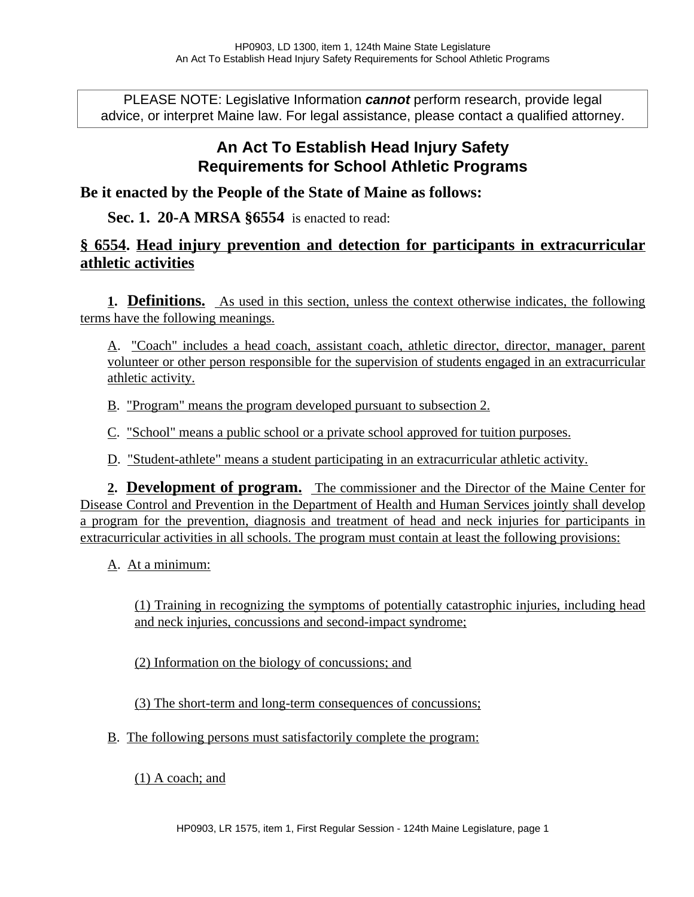PLEASE NOTE: Legislative Information **cannot** perform research, provide legal advice, or interpret Maine law. For legal assistance, please contact a qualified attorney.

## **An Act To Establish Head Injury Safety Requirements for School Athletic Programs**

**Be it enacted by the People of the State of Maine as follows:**

## **Sec. 1. 20-A MRSA §6554** is enacted to read:

## **§ 6554. Head injury prevention and detection for participants in extracurricular athletic activities**

**1. Definitions.** As used in this section, unless the context otherwise indicates, the following terms have the following meanings.

A. "Coach" includes a head coach, assistant coach, athletic director, director, manager, parent volunteer or other person responsible for the supervision of students engaged in an extracurricular athletic activity.

B. "Program" means the program developed pursuant to subsection 2.

C. "School" means a public school or a private school approved for tuition purposes.

D. "Student-athlete" means a student participating in an extracurricular athletic activity.

**2. Development of program.** The commissioner and the Director of the Maine Center for Disease Control and Prevention in the Department of Health and Human Services jointly shall develop a program for the prevention, diagnosis and treatment of head and neck injuries for participants in extracurricular activities in all schools. The program must contain at least the following provisions:

A. At a minimum:

(1) Training in recognizing the symptoms of potentially catastrophic injuries, including head and neck injuries, concussions and second-impact syndrome;

(2) Information on the biology of concussions; and

(3) The short-term and long-term consequences of concussions;

B. The following persons must satisfactorily complete the program:

(1) A coach; and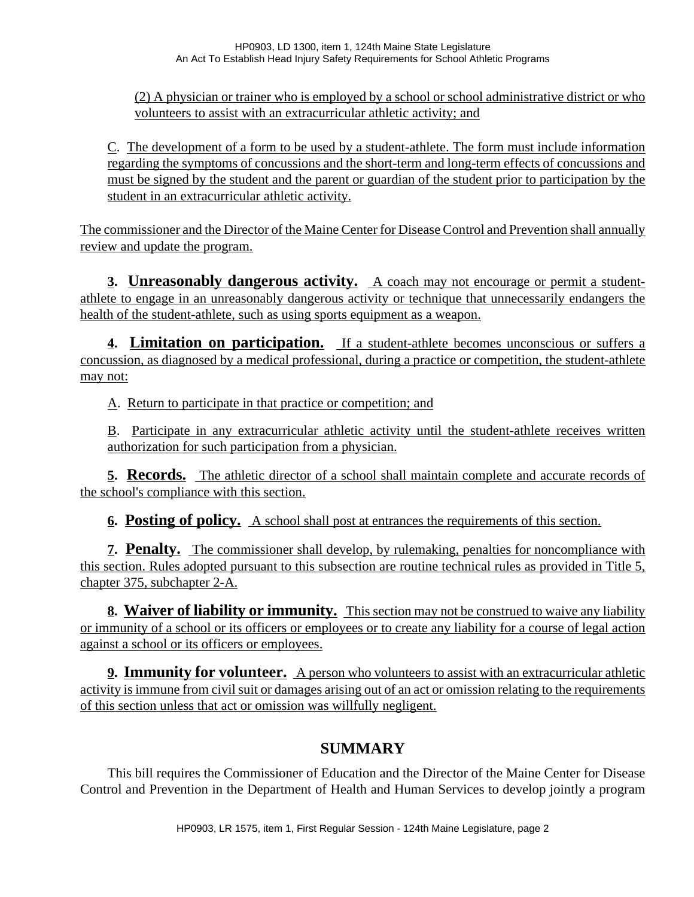(2) A physician or trainer who is employed by a school or school administrative district or who volunteers to assist with an extracurricular athletic activity; and

C. The development of a form to be used by a student-athlete. The form must include information regarding the symptoms of concussions and the short-term and long-term effects of concussions and must be signed by the student and the parent or guardian of the student prior to participation by the student in an extracurricular athletic activity.

The commissioner and the Director of the Maine Center for Disease Control and Prevention shall annually review and update the program.

**3. Unreasonably dangerous activity.** A coach may not encourage or permit a studentathlete to engage in an unreasonably dangerous activity or technique that unnecessarily endangers the health of the student-athlete, such as using sports equipment as a weapon.

**4. Limitation on participation.** If a student-athlete becomes unconscious or suffers a concussion, as diagnosed by a medical professional, during a practice or competition, the student-athlete may not:

A. Return to participate in that practice or competition; and

B. Participate in any extracurricular athletic activity until the student-athlete receives written authorization for such participation from a physician.

**5. Records.** The athletic director of a school shall maintain complete and accurate records of the school's compliance with this section.

**6. Posting of policy.** A school shall post at entrances the requirements of this section.

**7. Penalty.** The commissioner shall develop, by rulemaking, penalties for noncompliance with this section. Rules adopted pursuant to this subsection are routine technical rules as provided in Title 5, chapter 375, subchapter 2-A.

**8. Waiver of liability or immunity.** This section may not be construed to waive any liability or immunity of a school or its officers or employees or to create any liability for a course of legal action against a school or its officers or employees.

**9. Immunity for volunteer.** A person who volunteers to assist with an extracurricular athletic activity is immune from civil suit or damages arising out of an act or omission relating to the requirements of this section unless that act or omission was willfully negligent.

## **SUMMARY**

This bill requires the Commissioner of Education and the Director of the Maine Center for Disease Control and Prevention in the Department of Health and Human Services to develop jointly a program